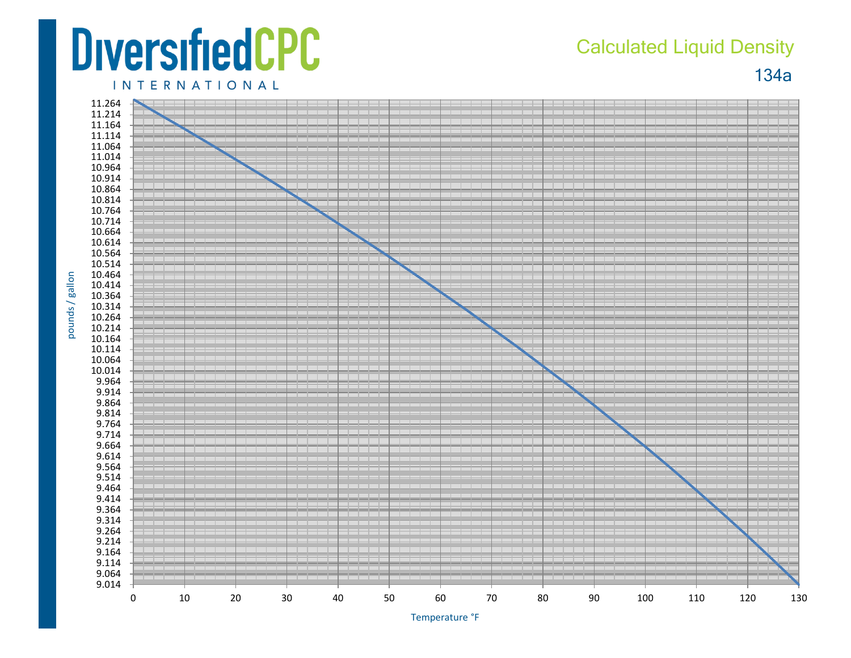## **DiversifiedCPC**

## Calculated Liquid Density

134a

**INTERNATIONAL** 



pounds / gallon